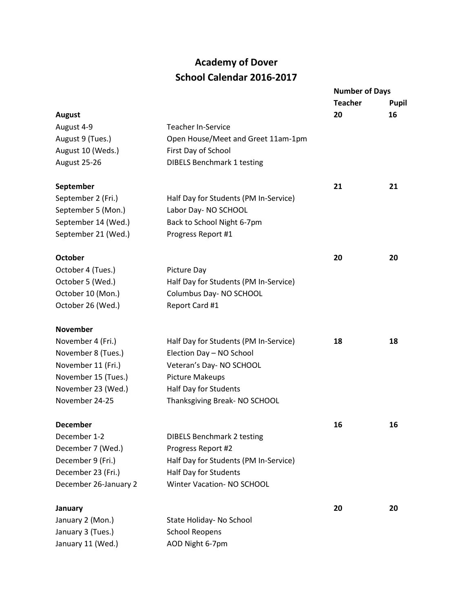## **Academy of Dover School Calendar 2016-2017**

|                       |                                       | <b>Number of Days</b> |       |
|-----------------------|---------------------------------------|-----------------------|-------|
|                       |                                       | <b>Teacher</b>        | Pupil |
| <b>August</b>         |                                       | 20                    | 16    |
| August 4-9            | <b>Teacher In-Service</b>             |                       |       |
| August 9 (Tues.)      | Open House/Meet and Greet 11am-1pm    |                       |       |
| August 10 (Weds.)     | First Day of School                   |                       |       |
| August 25-26          | <b>DIBELS Benchmark 1 testing</b>     |                       |       |
| September             |                                       | 21                    | 21    |
| September 2 (Fri.)    | Half Day for Students (PM In-Service) |                       |       |
| September 5 (Mon.)    | Labor Day- NO SCHOOL                  |                       |       |
| September 14 (Wed.)   | Back to School Night 6-7pm            |                       |       |
| September 21 (Wed.)   | Progress Report #1                    |                       |       |
| <b>October</b>        |                                       | 20                    | 20    |
| October 4 (Tues.)     | <b>Picture Day</b>                    |                       |       |
| October 5 (Wed.)      | Half Day for Students (PM In-Service) |                       |       |
| October 10 (Mon.)     | Columbus Day- NO SCHOOL               |                       |       |
| October 26 (Wed.)     | Report Card #1                        |                       |       |
| <b>November</b>       |                                       |                       |       |
| November 4 (Fri.)     | Half Day for Students (PM In-Service) | 18                    | 18    |
| November 8 (Tues.)    | Election Day - NO School              |                       |       |
| November 11 (Fri.)    | Veteran's Day-NO SCHOOL               |                       |       |
| November 15 (Tues.)   | <b>Picture Makeups</b>                |                       |       |
| November 23 (Wed.)    | Half Day for Students                 |                       |       |
| November 24-25        | Thanksgiving Break- NO SCHOOL         |                       |       |
| <b>December</b>       |                                       | 16                    | 16    |
| December 1-2          | <b>DIBELS Benchmark 2 testing</b>     |                       |       |
| December 7 (Wed.)     | Progress Report #2                    |                       |       |
| December 9 (Fri.)     | Half Day for Students (PM In-Service) |                       |       |
| December 23 (Fri.)    | Half Day for Students                 |                       |       |
| December 26-January 2 | <b>Winter Vacation- NO SCHOOL</b>     |                       |       |
| January               |                                       | 20                    | 20    |
| January 2 (Mon.)      | State Holiday- No School              |                       |       |
| January 3 (Tues.)     | <b>School Reopens</b>                 |                       |       |
| January 11 (Wed.)     | AOD Night 6-7pm                       |                       |       |
|                       |                                       |                       |       |